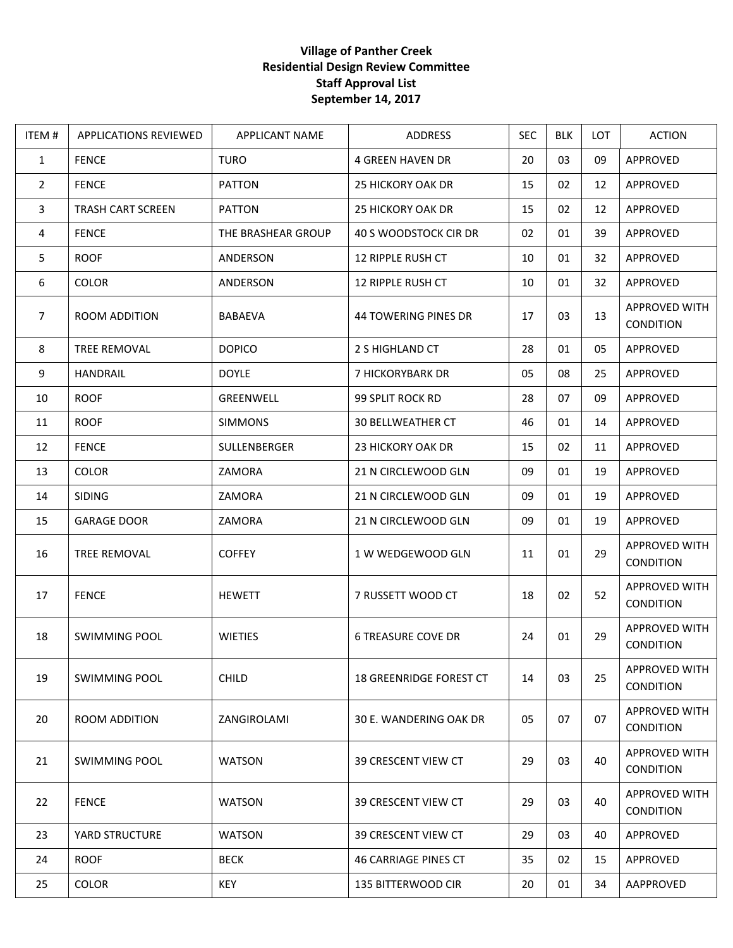## **Village of Panther Creek Residential Design Review Committee Staff Approval List September 14, 2017**

| ITEM#          | <b>APPLICATIONS REVIEWED</b> | APPLICANT NAME     | ADDRESS                     | <b>SEC</b> | <b>BLK</b> | <b>LOT</b> | <b>ACTION</b>                     |
|----------------|------------------------------|--------------------|-----------------------------|------------|------------|------------|-----------------------------------|
| $\mathbf{1}$   | <b>FENCE</b>                 | <b>TURO</b>        | <b>4 GREEN HAVEN DR</b>     | 20         | 03         | 09         | APPROVED                          |
| $\overline{2}$ | <b>FENCE</b>                 | <b>PATTON</b>      | <b>25 HICKORY OAK DR</b>    | 15         | 02         | 12         | <b>APPROVED</b>                   |
| $\mathbf{3}$   | <b>TRASH CART SCREEN</b>     | PATTON             | <b>25 HICKORY OAK DR</b>    | 15         | 02         | 12         | APPROVED                          |
| 4              | <b>FENCE</b>                 | THE BRASHEAR GROUP | 40 S WOODSTOCK CIR DR       | 02         | 01         | 39         | APPROVED                          |
| 5              | <b>ROOF</b>                  | ANDERSON           | <b>12 RIPPLE RUSH CT</b>    | 10         | 01         | 32         | APPROVED                          |
| 6              | <b>COLOR</b>                 | ANDERSON           | <b>12 RIPPLE RUSH CT</b>    | 10         | 01         | 32         | APPROVED                          |
| $\overline{7}$ | ROOM ADDITION                | <b>BABAEVA</b>     | <b>44 TOWERING PINES DR</b> | 17         | 03         | 13         | APPROVED WITH<br>CONDITION        |
| 8              | <b>TREE REMOVAL</b>          | <b>DOPICO</b>      | 2 S HIGHLAND CT             | 28         | 01         | 05         | APPROVED                          |
| 9              | <b>HANDRAIL</b>              | <b>DOYLE</b>       | 7 HICKORYBARK DR            | 05         | 08         | 25         | APPROVED                          |
| 10             | <b>ROOF</b>                  | GREENWELL          | 99 SPLIT ROCK RD            | 28         | 07         | 09         | <b>APPROVED</b>                   |
| 11             | <b>ROOF</b>                  | <b>SIMMONS</b>     | <b>30 BELLWEATHER CT</b>    | 46         | 01         | 14         | APPROVED                          |
| 12             | <b>FENCE</b>                 | SULLENBERGER       | 23 HICKORY OAK DR           | 15         | 02         | 11         | APPROVED                          |
| 13             | <b>COLOR</b>                 | ZAMORA             | 21 N CIRCLEWOOD GLN         | 09         | 01         | 19         | APPROVED                          |
| 14             | <b>SIDING</b>                | ZAMORA             | 21 N CIRCLEWOOD GLN         | 09         | 01         | 19         | APPROVED                          |
| 15             | <b>GARAGE DOOR</b>           | ZAMORA             | 21 N CIRCLEWOOD GLN         | 09         | 01         | 19         | APPROVED                          |
| 16             | TREE REMOVAL                 | <b>COFFEY</b>      | 1 W WEDGEWOOD GLN           | 11         | 01         | 29         | APPROVED WITH<br><b>CONDITION</b> |
| 17             | <b>FENCE</b>                 | <b>HEWETT</b>      | 7 RUSSETT WOOD CT           | 18         | 02         | 52         | APPROVED WITH<br>CONDITION        |
| 18             | <b>SWIMMING POOL</b>         | <b>WIETIES</b>     | <b>6 TREASURE COVE DR</b>   | 24         | 01         | 29         | APPROVED WITH<br><b>CONDITION</b> |
| 19             | SWIMMING POOL                | <b>CHILD</b>       | 18 GREENRIDGE FOREST CT     | 14         | 03         | 25         | <b>APPROVED WITH</b><br>CONDITION |
| 20             | <b>ROOM ADDITION</b>         | ZANGIROLAMI        | 30 E. WANDERING OAK DR      | 05         | 07         | 07         | APPROVED WITH<br><b>CONDITION</b> |
| 21             | <b>SWIMMING POOL</b>         | <b>WATSON</b>      | 39 CRESCENT VIEW CT         | 29         | 03         | 40         | APPROVED WITH<br>CONDITION        |
| 22             | <b>FENCE</b>                 | <b>WATSON</b>      | 39 CRESCENT VIEW CT         | 29         | 03         | 40         | APPROVED WITH<br><b>CONDITION</b> |
| 23             | YARD STRUCTURE               | <b>WATSON</b>      | 39 CRESCENT VIEW CT         | 29         | 03         | 40         | APPROVED                          |
| 24             | <b>ROOF</b>                  | <b>BECK</b>        | <b>46 CARRIAGE PINES CT</b> | 35         | 02         | 15         | APPROVED                          |
| 25             | <b>COLOR</b>                 | <b>KEY</b>         | <b>135 BITTERWOOD CIR</b>   | 20         | 01         | 34         | AAPPROVED                         |
|                |                              |                    |                             |            |            |            |                                   |